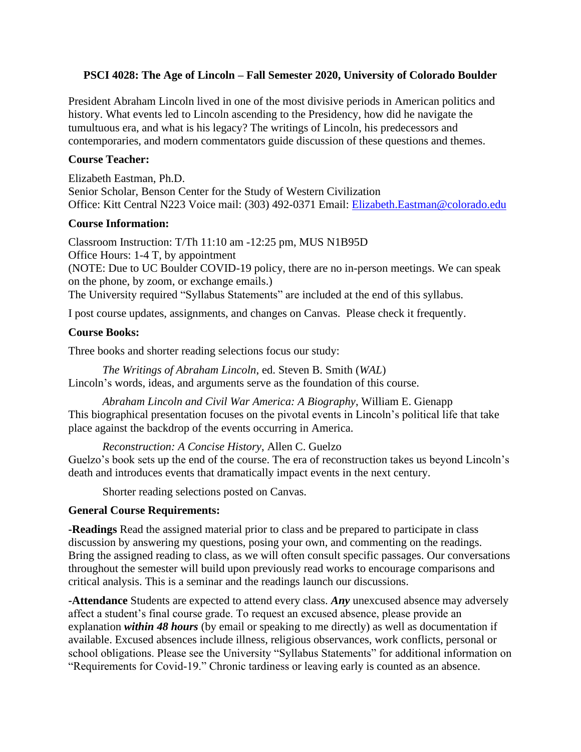#### **PSCI 4028: The Age of Lincoln – Fall Semester 2020, University of Colorado Boulder**

President Abraham Lincoln lived in one of the most divisive periods in American politics and history. What events led to Lincoln ascending to the Presidency, how did he navigate the tumultuous era, and what is his legacy? The writings of Lincoln, his predecessors and contemporaries, and modern commentators guide discussion of these questions and themes.

#### **Course Teacher:**

Elizabeth Eastman, Ph.D. Senior Scholar, Benson Center for the Study of Western Civilization Office: Kitt Central N223 Voice mail: (303) 492-0371 Email: [Elizabeth.Eastman@colorado.edu](mailto:Elizabeth.Eastman@colorado.edu)

#### **Course Information:**

Classroom Instruction: T/Th 11:10 am -12:25 pm, MUS N1B95D Office Hours: 1-4 T, by appointment (NOTE: Due to UC Boulder COVID-19 policy, there are no in-person meetings. We can speak on the phone, by zoom, or exchange emails.) The University required "Syllabus Statements" are included at the end of this syllabus.

I post course updates, assignments, and changes on Canvas. Please check it frequently.

#### **Course Books:**

Three books and shorter reading selections focus our study:

*The Writings of Abraham Lincoln*, ed. Steven B. Smith (*WAL*) Lincoln's words, ideas, and arguments serve as the foundation of this course.

*Abraham Lincoln and Civil War America: A Biography*, William E. Gienapp This biographical presentation focuses on the pivotal events in Lincoln's political life that take place against the backdrop of the events occurring in America.

*Reconstruction: A Concise History*, Allen C. Guelzo Guelzo's book sets up the end of the course. The era of reconstruction takes us beyond Lincoln's death and introduces events that dramatically impact events in the next century.

Shorter reading selections posted on Canvas.

#### **General Course Requirements:**

**-Readings** Read the assigned material prior to class and be prepared to participate in class discussion by answering my questions, posing your own, and commenting on the readings. Bring the assigned reading to class, as we will often consult specific passages. Our conversations throughout the semester will build upon previously read works to encourage comparisons and critical analysis. This is a seminar and the readings launch our discussions.

**-Attendance** Students are expected to attend every class. *Any* unexcused absence may adversely affect a student's final course grade. To request an excused absence, please provide an explanation *within 48 hours* (by email or speaking to me directly) as well as documentation if available. Excused absences include illness, religious observances, work conflicts, personal or school obligations. Please see the University "Syllabus Statements" for additional information on "Requirements for Covid-19." Chronic tardiness or leaving early is counted as an absence.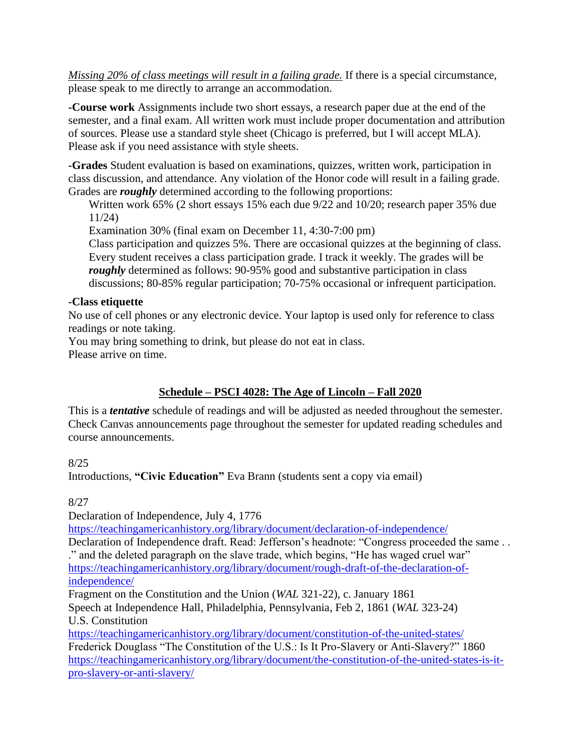*Missing 20% of class meetings will result in a failing grade.* If there is a special circumstance, please speak to me directly to arrange an accommodation.

**-Course work** Assignments include two short essays, a research paper due at the end of the semester, and a final exam. All written work must include proper documentation and attribution of sources. Please use a standard style sheet (Chicago is preferred, but I will accept MLA). Please ask if you need assistance with style sheets.

**-Grades** Student evaluation is based on examinations, quizzes, written work, participation in class discussion, and attendance. Any violation of the Honor code will result in a failing grade. Grades are *roughly* determined according to the following proportions:

Written work 65% (2 short essays 15% each due 9/22 and 10/20; research paper 35% due 11/24)

Examination 30% (final exam on December 11, 4:30-7:00 pm)

Class participation and quizzes 5%. There are occasional quizzes at the beginning of class. Every student receives a class participation grade. I track it weekly. The grades will be *roughly* determined as follows: 90-95% good and substantive participation in class discussions; 80-85% regular participation; 70-75% occasional or infrequent participation.

### **-Class etiquette**

No use of cell phones or any electronic device. Your laptop is used only for reference to class readings or note taking.

You may bring something to drink, but please do not eat in class. Please arrive on time.

### **Schedule – PSCI 4028: The Age of Lincoln – Fall 2020**

This is a *tentative* schedule of readings and will be adjusted as needed throughout the semester. Check Canvas announcements page throughout the semester for updated reading schedules and course announcements.

8/25

Introductions, **"Civic Education"** Eva Brann (students sent a copy via email)

8/27

Declaration of Independence, July 4, 1776

<https://teachingamericanhistory.org/library/document/declaration-of-independence/>

Declaration of Independence draft. Read: Jefferson's headnote: "Congress proceeded the same . . ." and the deleted paragraph on the slave trade, which begins, "He has waged cruel war" [https://teachingamericanhistory.org/library/document/rough-draft-of-the-declaration-of](https://teachingamericanhistory.org/library/document/rough-draft-of-the-declaration-of-independence/)[independence/](https://teachingamericanhistory.org/library/document/rough-draft-of-the-declaration-of-independence/)

Fragment on the Constitution and the Union (*WAL* 321-22), c. January 1861 Speech at Independence Hall, Philadelphia, Pennsylvania, Feb 2, 1861 (*WAL* 323-24) U.S. Constitution

<https://teachingamericanhistory.org/library/document/constitution-of-the-united-states/> Frederick Douglass "The Constitution of the U.S.: Is It Pro-Slavery or Anti-Slavery?" 1860 [https://teachingamericanhistory.org/library/document/the-constitution-of-the-united-states-is-it](https://teachingamericanhistory.org/library/document/the-constitution-of-the-united-states-is-it-pro-slavery-or-anti-slavery/)[pro-slavery-or-anti-slavery/](https://teachingamericanhistory.org/library/document/the-constitution-of-the-united-states-is-it-pro-slavery-or-anti-slavery/)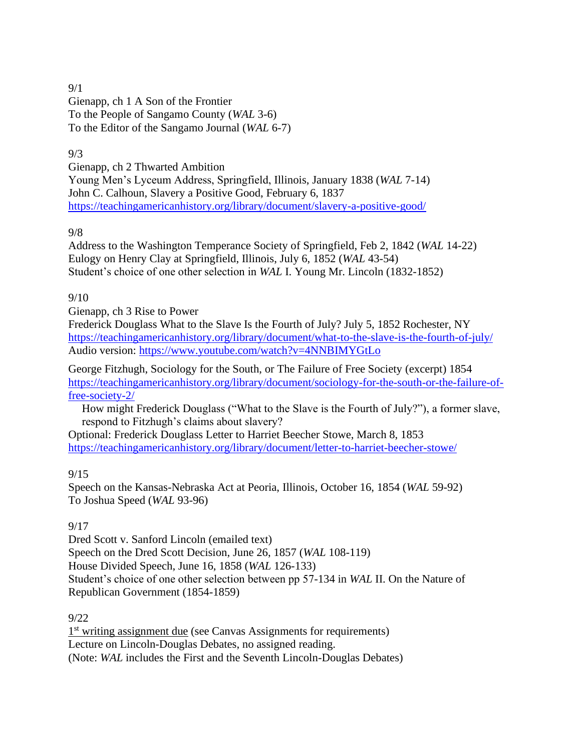#### 9/1

Gienapp, ch 1 A Son of the Frontier To the People of Sangamo County (*WAL* 3-6) To the Editor of the Sangamo Journal (*WAL* 6-7)

# 9/3

Gienapp, ch 2 Thwarted Ambition Young Men's Lyceum Address, Springfield, Illinois, January 1838 (*WAL* 7-14) John C. Calhoun, Slavery a Positive Good, February 6, 1837 <https://teachingamericanhistory.org/library/document/slavery-a-positive-good/>

### 9/8

Address to the Washington Temperance Society of Springfield, Feb 2, 1842 (*WAL* 14-22) Eulogy on Henry Clay at Springfield, Illinois, July 6, 1852 (*WAL* 43-54) Student's choice of one other selection in *WAL* I. Young Mr. Lincoln (1832-1852)

# 9/10

Gienapp, ch 3 Rise to Power

Frederick Douglass What to the Slave Is the Fourth of July? July 5, 1852 Rochester, NY <https://teachingamericanhistory.org/library/document/what-to-the-slave-is-the-fourth-of-july/> Audio version:<https://www.youtube.com/watch?v=4NNBIMYGtLo>

George Fitzhugh, Sociology for the South, or The Failure of Free Society (excerpt) 1854 [https://teachingamericanhistory.org/library/document/sociology-for-the-south-or-the-failure-of](https://teachingamericanhistory.org/library/document/sociology-for-the-south-or-the-failure-of-free-society-2/)[free-society-2/](https://teachingamericanhistory.org/library/document/sociology-for-the-south-or-the-failure-of-free-society-2/)

How might Frederick Douglass ("What to the Slave is the Fourth of July?"), a former slave, respond to Fitzhugh's claims about slavery?

Optional: Frederick Douglass Letter to Harriet Beecher Stowe, March 8, 1853 <https://teachingamericanhistory.org/library/document/letter-to-harriet-beecher-stowe/>

### 9/15

Speech on the Kansas-Nebraska Act at Peoria, Illinois, October 16, 1854 (*WAL* 59-92) To Joshua Speed (*WAL* 93-96)

### 9/17

Dred Scott v. Sanford Lincoln (emailed text) Speech on the Dred Scott Decision, June 26, 1857 (*WAL* 108-119) House Divided Speech, June 16, 1858 (*WAL* 126-133) Student's choice of one other selection between pp 57-134 in *WAL* II. On the Nature of Republican Government (1854-1859)

### 9/22

1<sup>st</sup> writing assignment due (see Canvas Assignments for requirements) Lecture on Lincoln-Douglas Debates, no assigned reading. (Note: *WAL* includes the First and the Seventh Lincoln-Douglas Debates)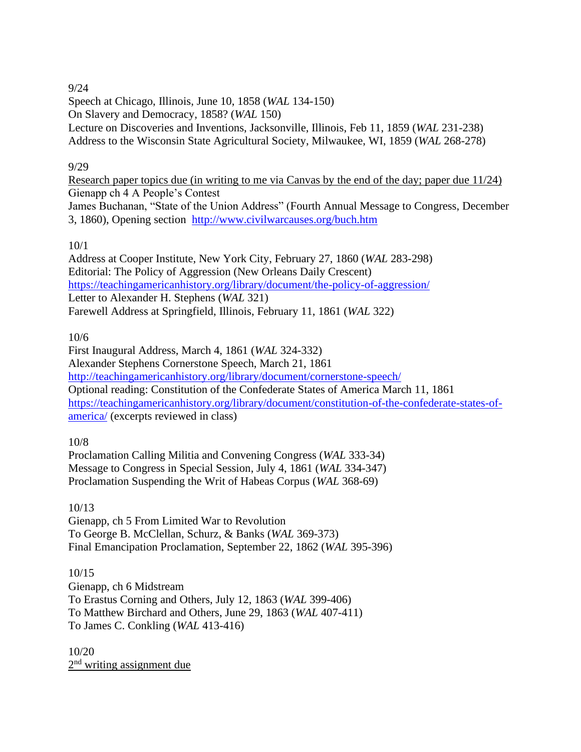# 9/24

Speech at Chicago, Illinois, June 10, 1858 (*WAL* 134-150) On Slavery and Democracy, 1858? (*WAL* 150) Lecture on Discoveries and Inventions, Jacksonville, Illinois, Feb 11, 1859 (*WAL* 231-238) Address to the Wisconsin State Agricultural Society, Milwaukee, WI, 1859 (*WAL* 268-278)

### 9/29

Research paper topics due (in writing to me via Canvas by the end of the day; paper due 11/24) Gienapp ch 4 A People's Contest James Buchanan, "State of the Union Address" (Fourth Annual Message to Congress, December 3, 1860), Opening section <http://www.civilwarcauses.org/buch.htm>

# 10/1

Address at Cooper Institute, New York City, February 27, 1860 (*WAL* 283-298) Editorial: The Policy of Aggression (New Orleans Daily Crescent) <https://teachingamericanhistory.org/library/document/the-policy-of-aggression/> Letter to Alexander H. Stephens (*WAL* 321) Farewell Address at Springfield, Illinois, February 11, 1861 (*WAL* 322)

10/6

First Inaugural Address, March 4, 1861 (*WAL* 324-332) Alexander Stephens Cornerstone Speech, March 21, 1861 <http://teachingamericanhistory.org/library/document/cornerstone-speech/> Optional reading: Constitution of the Confederate States of America March 11, 1861 [https://teachingamericanhistory.org/library/document/constitution-of-the-confederate-states-of](https://teachingamericanhistory.org/library/document/constitution-of-the-confederate-states-of-america/)[america/](https://teachingamericanhistory.org/library/document/constitution-of-the-confederate-states-of-america/) (excerpts reviewed in class)

10/8

Proclamation Calling Militia and Convening Congress (*WAL* 333-34) Message to Congress in Special Session, July 4, 1861 (*WAL* 334-347) Proclamation Suspending the Writ of Habeas Corpus (*WAL* 368-69)

# 10/13

Gienapp, ch 5 From Limited War to Revolution To George B. McClellan, Schurz, & Banks (*WAL* 369-373) Final Emancipation Proclamation, September 22, 1862 (*WAL* 395-396)

10/15 Gienapp, ch 6 Midstream To Erastus Corning and Others, July 12, 1863 (*WAL* 399-406) To Matthew Birchard and Others, June 29, 1863 (*WAL* 407-411) To James C. Conkling (*WAL* 413-416)

10/20 2<sup>nd</sup> writing assignment due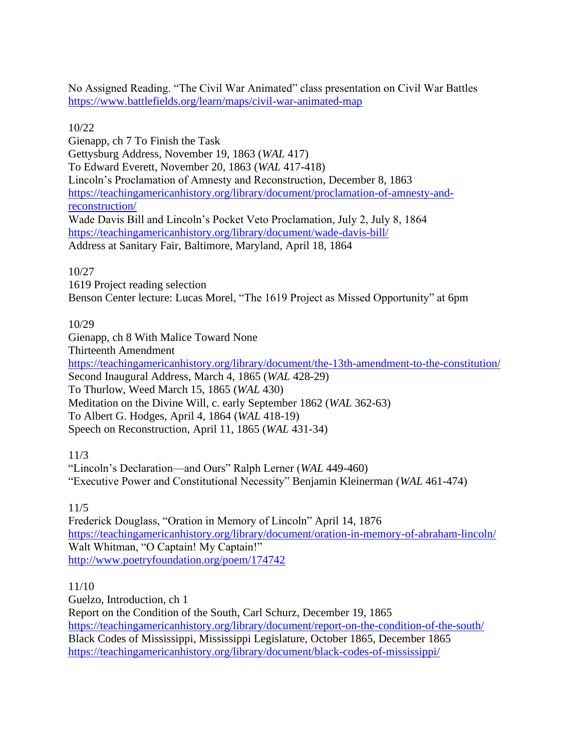No Assigned Reading. "The Civil War Animated" class presentation on Civil War Battles <https://www.battlefields.org/learn/maps/civil-war-animated-map>

10/22

Gienapp, ch 7 To Finish the Task Gettysburg Address, November 19, 1863 (*WAL* 417) To Edward Everett, November 20, 1863 (*WAL* 417-418) Lincoln's Proclamation of Amnesty and Reconstruction, December 8, 1863 [https://teachingamericanhistory.org/library/document/proclamation-of-amnesty-and](https://teachingamericanhistory.org/library/document/proclamation-of-amnesty-and-reconstruction/)[reconstruction/](https://teachingamericanhistory.org/library/document/proclamation-of-amnesty-and-reconstruction/) Wade Davis Bill and Lincoln's Pocket Veto Proclamation, July 2, July 8, 1864 <https://teachingamericanhistory.org/library/document/wade-davis-bill/> Address at Sanitary Fair, Baltimore, Maryland, April 18, 1864

10/27

1619 Project reading selection

Benson Center lecture: Lucas Morel, "The 1619 Project as Missed Opportunity" at 6pm

10/29

Gienapp, ch 8 With Malice Toward None Thirteenth Amendment <https://teachingamericanhistory.org/library/document/the-13th-amendment-to-the-constitution/> Second Inaugural Address, March 4, 1865 (*WAL* 428-29) To Thurlow, Weed March 15, 1865 (*WAL* 430) Meditation on the Divine Will, c. early September 1862 (*WAL* 362-63) To Albert G. Hodges, April 4, 1864 (*WAL* 418-19) Speech on Reconstruction, April 11, 1865 (*WAL* 431-34)

11/3

"Lincoln's Declaration—and Ours" Ralph Lerner (*WAL* 449-460) "Executive Power and Constitutional Necessity" Benjamin Kleinerman (*WAL* 461-474)

11/5

Frederick Douglass, "Oration in Memory of Lincoln" April 14, 1876 <https://teachingamericanhistory.org/library/document/oration-in-memory-of-abraham-lincoln/> Walt Whitman, "O Captain! My Captain!" <http://www.poetryfoundation.org/poem/174742>

11/10

Guelzo, Introduction, ch 1 Report on the Condition of the South, Carl Schurz, December 19, 1865 <https://teachingamericanhistory.org/library/document/report-on-the-condition-of-the-south/> Black Codes of Mississippi, Mississippi Legislature, October 1865, December 1865 <https://teachingamericanhistory.org/library/document/black-codes-of-mississippi/>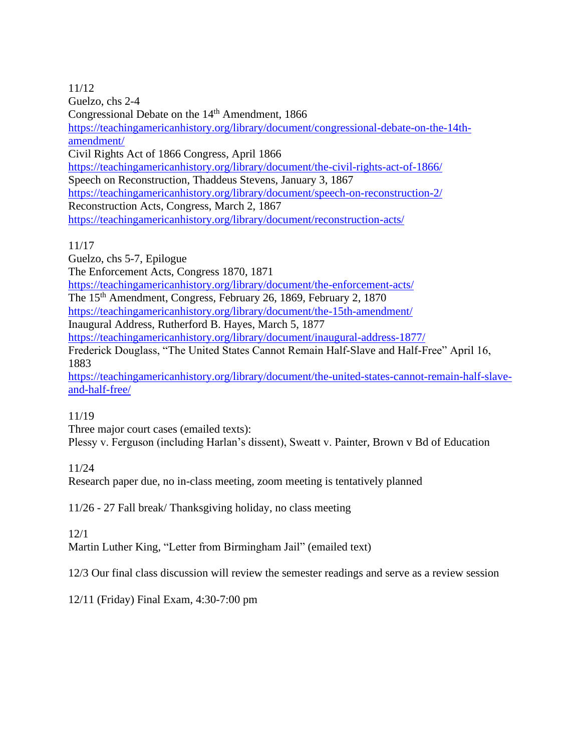11/12 Guelzo, chs 2-4 Congressional Debate on the 14<sup>th</sup> Amendment, 1866 [https://teachingamericanhistory.org/library/document/congressional-debate-on-the-14th](https://teachingamericanhistory.org/library/document/congressional-debate-on-the-14th-amendment/)[amendment/](https://teachingamericanhistory.org/library/document/congressional-debate-on-the-14th-amendment/) Civil Rights Act of 1866 Congress, April 1866 <https://teachingamericanhistory.org/library/document/the-civil-rights-act-of-1866/> Speech on Reconstruction, Thaddeus Stevens, January 3, 1867 <https://teachingamericanhistory.org/library/document/speech-on-reconstruction-2/> Reconstruction Acts, Congress, March 2, 1867 <https://teachingamericanhistory.org/library/document/reconstruction-acts/>

11/17

Guelzo, chs 5-7, Epilogue The Enforcement Acts, Congress 1870, 1871 <https://teachingamericanhistory.org/library/document/the-enforcement-acts/> The 15th Amendment, Congress, February 26, 1869, February 2, 1870 <https://teachingamericanhistory.org/library/document/the-15th-amendment/> Inaugural Address, Rutherford B. Hayes, March 5, 1877 <https://teachingamericanhistory.org/library/document/inaugural-address-1877/> Frederick Douglass, "The United States Cannot Remain Half-Slave and Half-Free" April 16, 1883 [https://teachingamericanhistory.org/library/document/the-united-states-cannot-remain-half-slave-](https://teachingamericanhistory.org/library/document/the-united-states-cannot-remain-half-slave-and-half-free/)

[and-half-free/](https://teachingamericanhistory.org/library/document/the-united-states-cannot-remain-half-slave-and-half-free/)

11/19

Three major court cases (emailed texts):

Plessy v. Ferguson (including Harlan's dissent), Sweatt v. Painter, Brown v Bd of Education

11/24

Research paper due, no in-class meeting, zoom meeting is tentatively planned

11/26 - 27 Fall break/ Thanksgiving holiday, no class meeting

12/1

Martin Luther King, "Letter from Birmingham Jail" (emailed text)

12/3 Our final class discussion will review the semester readings and serve as a review session

12/11 (Friday) Final Exam, 4:30-7:00 pm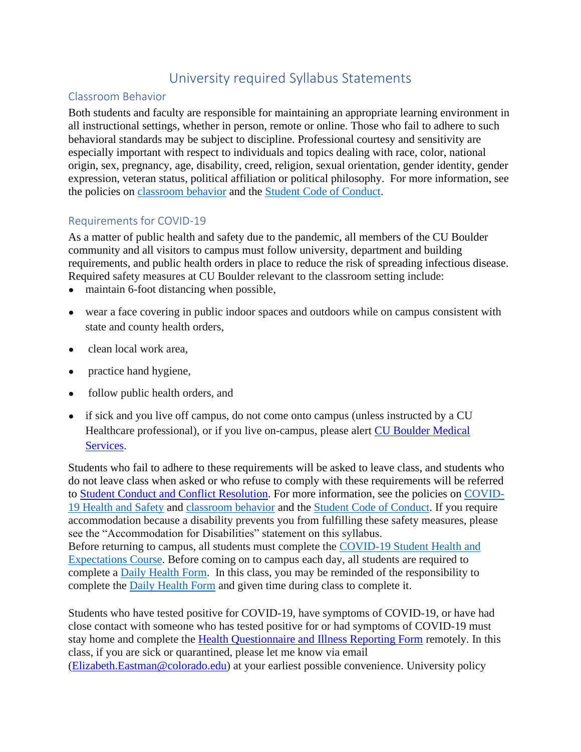# University required Syllabus Statements

# Classroom Behavior

Both students and faculty are responsible for maintaining an appropriate learning environment in all instructional settings, whether in person, remote or online. Those who fail to adhere to such behavioral standards may be subject to discipline. Professional courtesy and sensitivity are especially important with respect to individuals and topics dealing with race, color, national origin, sex, pregnancy, age, disability, creed, religion, sexual orientation, gender identity, gender expression, veteran status, political affiliation or political philosophy. For more information, see the policies on [classroom behavior](http://www.colorado.edu/policies/student-classroom-and-course-related-behavior) and the [Student Code of Conduct.](https://www.colorado.edu/sccr/sites/default/files/attached-files/2019-2020_student_code_of_conduct_0.pdf)

# Requirements for COVID-19

As a matter of public health and safety due to the pandemic, all members of the CU Boulder community and all visitors to campus must follow university, department and building requirements, and public health orders in place to reduce the risk of spreading infectious disease. Required safety measures at CU Boulder relevant to the classroom setting include:

- maintain 6-foot distancing when possible,
- wear a face covering in public indoor spaces and outdoors while on campus consistent with state and county health orders,
- clean local work area.
- practice hand hygiene,
- follow public health orders, and
- if sick and you live off campus, do not come onto campus (unless instructed by a CU Healthcare professional), or if you live on-campus, please alert [CU Boulder Medical](https://www.colorado.edu/healthcenter/coronavirus-updates/symptoms-and-what-do-if-you-feel-sick)  [Services.](https://www.colorado.edu/healthcenter/coronavirus-updates/symptoms-and-what-do-if-you-feel-sick)

Students who fail to adhere to these requirements will be asked to leave class, and students who do not leave class when asked or who refuse to comply with these requirements will be referred to [Student Conduct and Conflict Resolution.](https://www.colorado.edu/sccr/) For more information, see the policies on [COVID-](https://www.colorado.edu/policies/covid-19-health-and-safety-policy)[19 Health and Safety](https://www.colorado.edu/policies/covid-19-health-and-safety-policy) and [classroom behavior](http://www.colorado.edu/policies/student-classroom-and-course-related-behavior) and the [Student Code of Conduct.](http://www.colorado.edu/osccr/) If you require accommodation because a disability prevents you from fulfilling these safety measures, please see the "Accommodation for Disabilities" statement on this syllabus. Before returning to campus, all students must complete the [COVID-19 Student Health and](https://www.colorado.edu/protect-our-herd/how#anchor1)  [Expectations Course.](https://www.colorado.edu/protect-our-herd/how#anchor1) Before coming on to campus each day, all students are required to complete a [Daily Health Form.](https://www.colorado.edu/protect-our-herd/daily-health-form) In this class, you may be reminded of the responsibility to complete the [Daily Health Form](https://www.colorado.edu/protect-our-herd/daily-health-form) and given time during class to complete it.

Students who have tested positive for COVID-19, have symptoms of COVID-19, or have had close contact with someone who has tested positive for or had symptoms of COVID-19 must stay home and complete the [Health Questionnaire and Illness Reporting Form](https://www.colorado.edu/protect-our-herd/daily-health-form) remotely. In this class, if you are sick or quarantined, please let me know via email [\(Elizabeth.Eastman@colorado.edu\)](mailto:Elizabeth.Eastman@colorado.edu) at your earliest possible convenience. University policy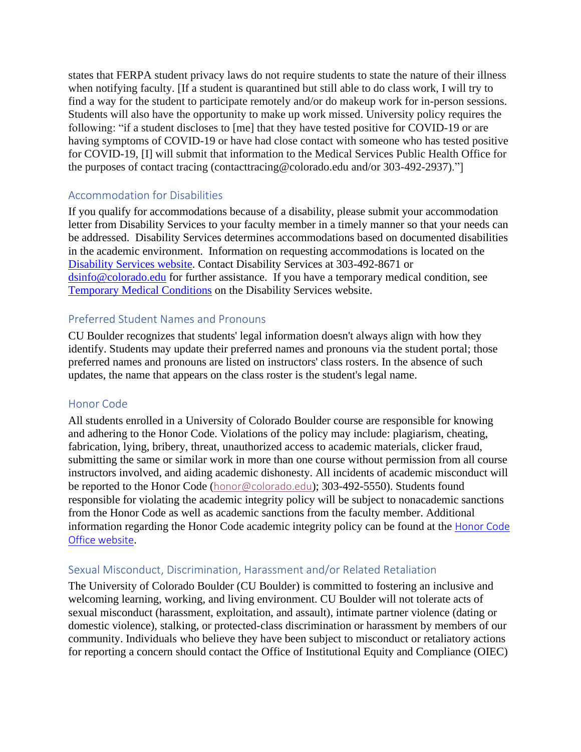states that FERPA student privacy laws do not require students to state the nature of their illness when notifying faculty. [If a student is quarantined but still able to do class work, I will try to find a way for the student to participate remotely and/or do makeup work for in-person sessions. Students will also have the opportunity to make up work missed. University policy requires the following: "if a student discloses to [me] that they have tested positive for COVID-19 or are having symptoms of COVID-19 or have had close contact with someone who has tested positive for COVID-19, [I] will submit that information to the Medical Services Public Health Office for the purposes of contact tracing (contacttracing@colorado.edu and/or 303-492-2937)."]

### Accommodation for Disabilities

If you qualify for accommodations because of a disability, please submit your accommodation letter from Disability Services to your faculty member in a timely manner so that your needs can be addressed. Disability Services determines accommodations based on documented disabilities in the academic environment. Information on requesting accommodations is located on the [Disability Services website.](https://www.colorado.edu/disabilityservices/) Contact Disability Services at 303-492-8671 or [dsinfo@colorado.edu](mailto:dsinfo@colorado.edu) for further assistance. If you have a temporary medical condition, see [Temporary Medical Conditions](http://www.colorado.edu/disabilityservices/students/temporary-medical-conditions) on the Disability Services website.

#### Preferred Student Names and Pronouns

CU Boulder recognizes that students' legal information doesn't always align with how they identify. Students may update their preferred names and pronouns via the student portal; those preferred names and pronouns are listed on instructors' class rosters. In the absence of such updates, the name that appears on the class roster is the student's legal name.

#### Honor Code

All students enrolled in a University of Colorado Boulder course are responsible for knowing and adhering to the Honor Code. Violations of the policy may include: plagiarism, cheating, fabrication, lying, bribery, threat, unauthorized access to academic materials, clicker fraud, submitting the same or similar work in more than one course without permission from all course instructors involved, and aiding academic dishonesty. All incidents of academic misconduct will be reported to the Honor Code ([honor@colorado.edu](mailto:honor@colorado.edu)); 303-492-5550). Students found responsible for violating the academic integrity policy will be subject to nonacademic sanctions from the Honor Code as well as academic sanctions from the faculty member. Additional information regarding the Honor Code academic integrity policy can be found at the [Honor Code](https://www.colorado.edu/osccr/honor-code)  [Office website](https://www.colorado.edu/osccr/honor-code).

#### Sexual Misconduct, Discrimination, Harassment and/or Related Retaliation

The University of Colorado Boulder (CU Boulder) is committed to fostering an inclusive and welcoming learning, working, and living environment. CU Boulder will not tolerate acts of sexual misconduct (harassment, exploitation, and assault), intimate partner violence (dating or domestic violence), stalking, or protected-class discrimination or harassment by members of our community. Individuals who believe they have been subject to misconduct or retaliatory actions for reporting a concern should contact the Office of Institutional Equity and Compliance (OIEC)